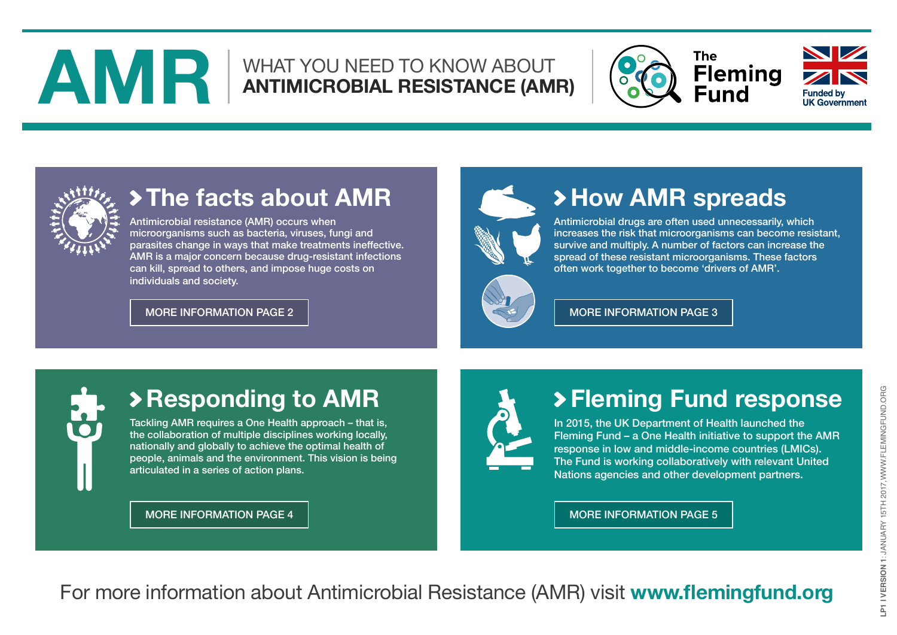## <span id="page-0-0"></span>**AND ANTIMICROBIAL RESISTANCE (AMR)**





## **The facts about AMR**

Antimicrobial resistance (AMR) occurs when microorganisms such as bacteria, viruses, fungi and parasites change in ways that make treatments ineffective. AMR is a major concern because drug-resistant infections can kill, spread to others, and impose huge costs on individuals and society.

[MORE INFORMATION PAGE 2](#page-1-0) MORE 10 [MORE INFORMATION PAGE 3](#page-2-0)



## **How AMR spreads**

Antimicrobial drugs are often used unnecessarily, which increases the risk that microorganisms can become resistant, survive and multiply. A number of factors can increase the spread of these resistant microorganisms. These factors often work together to become 'drivers of AMR'.



## **Responding to AMR**

Tackling AMR requires a One Health approach – that is, the collaboration of multiple disciplines working locally, nationally and globally to achieve the optimal health of people, animals and the environment. This vision is being articulated in a series of action plans.

[MORE INFORMATION PAGE 4](#page-3-0) [MORE INFORMATION PAGE 5](#page-4-0)



## **Fleming Fund response**

In 2015, the UK Department of Health launched the Fleming Fund – a One Health initiative to support the AMR response in low and middle-income countries (LMICs). The Fund is working collaboratively with relevant United Nations agencies and other development partners.

For more information about Antimicrobial Resistance (AMR) visit **www.flemingfund.org**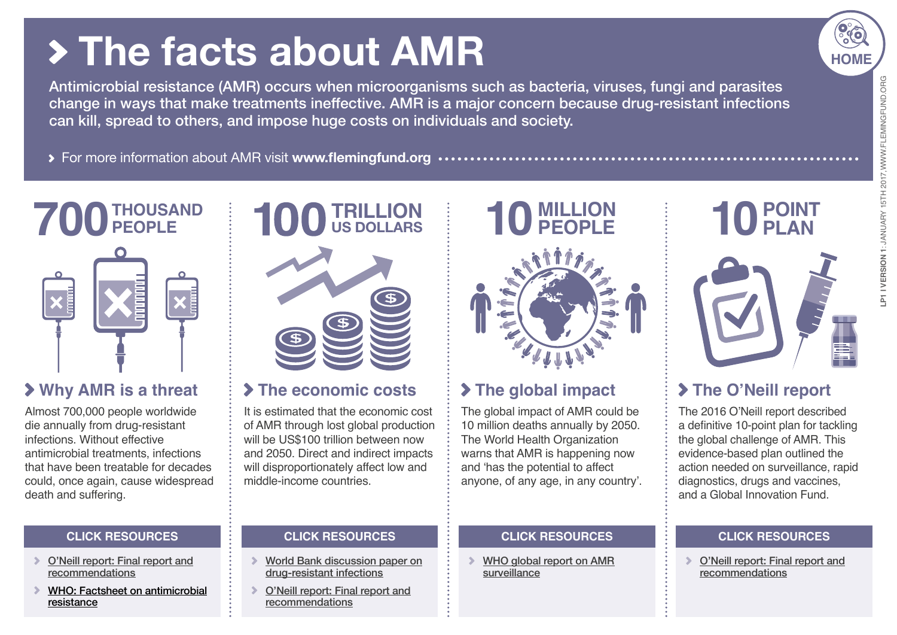## <span id="page-1-0"></span> **The facts about AMR**

Antimicrobial resistance (AMR) occurs when microorganisms such as bacteria, viruses, fungi and parasites change in ways that make treatments ineffective. AMR is a major concern because drug-resistant infections can kill, spread to others, and impose huge costs on individuals and society.

For more information about AMR visit **www.flemingfund.org**

## **700 THOUSAND PEOPLE**



#### **Why AMR is a threat**

Almost 700,000 people worldwide die annually from drug-resistant infections. Without effective antimicrobial treatments, infections that have been treatable for decades could, once again, cause widespread death and suffering.

#### **CLICK RESOURCES CLICK RESOURCES**

- [O'Neill report: Final report and](https://amr-review.org/sites/default/files/160525_Final%20paper_with%20cover.pdf) [recommendations](https://amr-review.org/sites/default/files/160525_Final%20paper_with%20cover.pdf)
- [WHO: Factsheet on antimicrobial](http://www.who.int/mediacentre/factsheets/fs194/en/) [resistance](http://www.who.int/mediacentre/factsheets/fs194/en/)



#### **The economic costs**

It is estimated that the economic cost of AMR through lost global production will be US\$100 trillion between now and 2050. Direct and indirect impacts will disproportionately affect low and middle-income countries.

[World Bank discussion paper on](http://pubdocs.worldbank.org/en/689381474641399486/1701381-AMR-Lab-Report-Web.pdf) [drug-resistant infections](http://pubdocs.worldbank.org/en/689381474641399486/1701381-AMR-Lab-Report-Web.pdf)

[O'Neill report: Final report and](https://amr-review.org/sites/default/files/160525_Final%20paper_with%20cover.pdf)

[recommendations](https://amr-review.org/sites/default/files/160525_Final%20paper_with%20cover.pdf)

 $\sum_{i=1}^{n}$ 



#### **The global impact**

The global impact of AMR could be 10 million deaths annually by 2050. The World Health Organization warns that AMR is happening now and 'has the potential to affect anyone, of any age, in any country'.

#### **CLICK RESOURCES**

[WHO global report on AMR](http://apps.who.int/iris/bitstream/10665/112642/1/9789241564748_eng.pdf?ua=1) [surveillance](http://apps.who.int/iris/bitstream/10665/112642/1/9789241564748_eng.pdf?ua=1)

## P1 I VERSION 1: JANUARY 15TH 2017, WWW.FLEMINGFUND.ORG **LP1 I VERSION 1**: JANUARY 15TH 2017,WWW.FLEMINGFUND.ORG

**[HOME](#page-0-0)**

**10 POINT PLAN**

### **The O'Neill report**

The 2016 O'Neill report described a definitive 10-point plan for tackling the global challenge of AMR. This evidence-based plan outlined the action needed on surveillance, rapid diagnostics, drugs and vaccines, and a Global Innovation Fund.

#### **CLICK RESOURCES**

[O'Neill report: Final report and](https://amr-review.org/sites/default/files/160525_Final%20paper_with%20cover.pdf) [recommendations](https://amr-review.org/sites/default/files/160525_Final%20paper_with%20cover.pdf)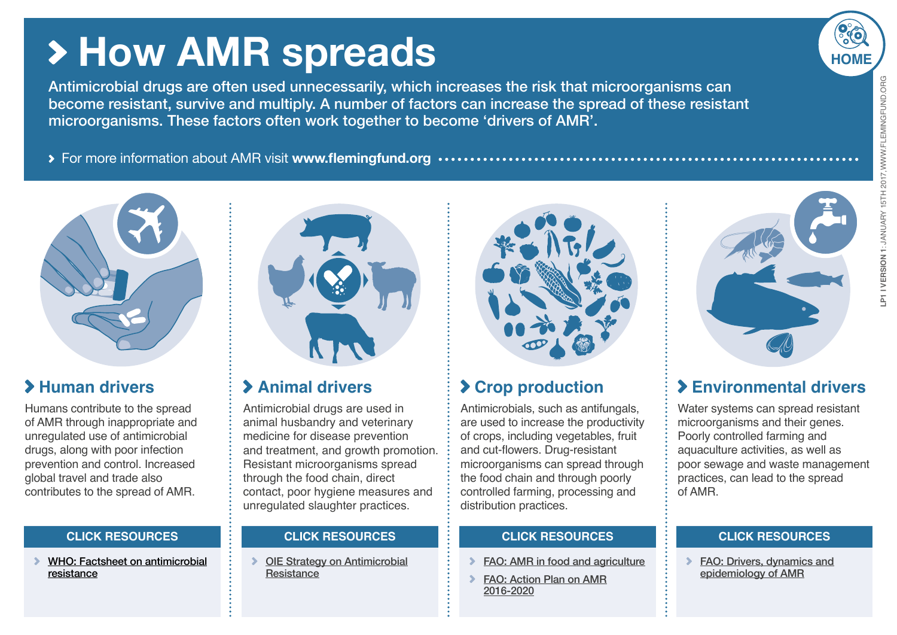## <span id="page-2-0"></span>**How AMR spreads**

Antimicrobial drugs are often used unnecessarily, which increases the risk that microorganisms can become resistant, survive and multiply. A number of factors can increase the spread of these resistant microorganisms. These factors often work together to become 'drivers of AMR'.

For more information about AMR visit **www.flemingfund.org**



#### **Human drivers**

Humans contribute to the spread of AMR through inappropriate and unregulated use of antimicrobial drugs, along with poor infection prevention and control. Increased global travel and trade also contributes to the spread of AMR.

[WHO: Factsheet on antimicrobial](http://www.who.int/mediacentre/factsheets/fs194/en/) [resistance](http://www.who.int/mediacentre/factsheets/fs194/en/)



#### **Animal drivers**

Antimicrobial drugs are used in animal husbandry and veterinary medicine for disease prevention and treatment, and growth promotion. Resistant microorganisms spread through the food chain, direct contact, poor hygiene measures and unregulated slaughter practices.

**DIE Strategy on Antimicrobial [Resistance](http://www.oie.int/fileadmin/Home/eng/Media_Center/docs/pdf/PortailAMR/EN_OIE-AMRstrategy.pdf)** 



#### **Crop production**

Antimicrobials, such as antifungals, are used to increase the productivity of crops, including vegetables, fruit and cut-flowers. Drug-resistant microorganisms can spread through the food chain and through poorly controlled farming, processing and distribution practices.

#### **CLICK RESOURCES CLICK RESOURCES CLICK RESOURCES CLICK RESOURCES**

- [FAO: AMR in food and agriculture](http://www.fao.org/3/a-i7138e.pdf)
- **[FAO: Action Plan on AMR](http://www.fao.org/3/a-i5996e.pdf)** [2016-2020](http://www.fao.org/3/a-i5996e.pdf)



#### **Environmental drivers**

Water systems can spread resistant microorganisms and their genes. Poorly controlled farming and aquaculture activities, as well as poor sewage and waste management practices, can lead to the spread of AMR.

[FAO: Drivers, dynamics and](http://www.fao.org/3/a-i6209e.pdf) [epidemiology of AMR](http://www.fao.org/3/a-i6209e.pdf)

# **[HOME](#page-0-0)** P1 I VERSION 1: JANUARY 15TH 2017, WWW. FLEMINGFUND. ORG

**LP1 I VERSION 1**: JANUARY 15TH 2017,WWW.FLEMINGFUND.ORG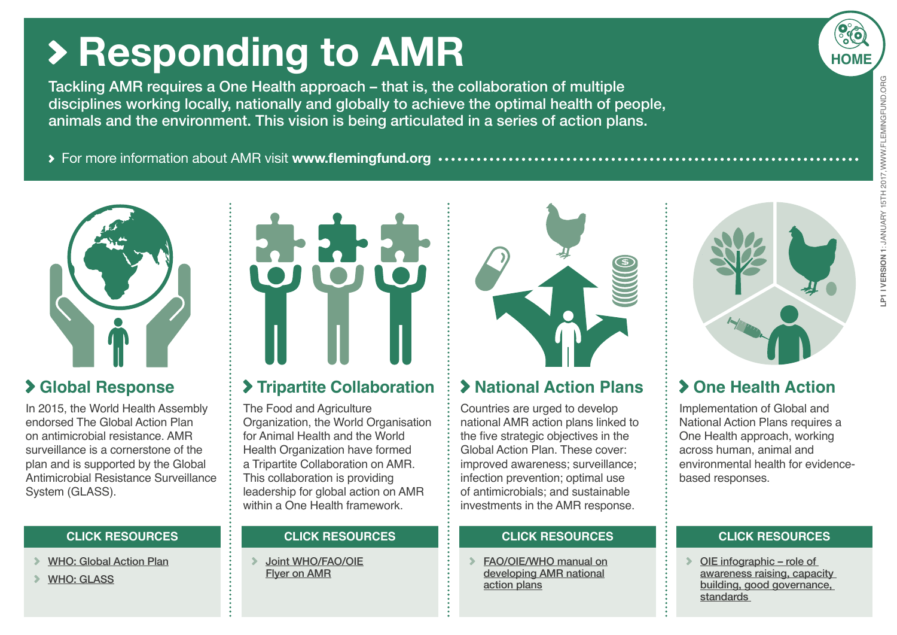## <span id="page-3-0"></span>**Responding to AMR**

Tackling AMR requires a One Health approach – that is, the collaboration of multiple disciplines working locally, nationally and globally to achieve the optimal health of people, animals and the environment. This vision is being articulated in a series of action plans.

For more information about AMR visit **www.flemingfund.org**



#### **Global Response**

In 2015, the World Health Assembly endorsed The Global Action Plan on antimicrobial resistance. AMR surveillance is a cornerstone of the plan and is supported by the Global Antimicrobial Resistance Surveillance System (GLASS).

- [WHO: Global Action Plan](http://apps.who.int/iris/bitstream/10665/193736/1/9789241509763_eng.pdf?ua=1)
- [WHO: GLASS](http://www.who.int/antimicrobial-resistance/publications/surveillance-system-manual/en/)



#### **Tripartite Collaboration**

The Food and Agriculture Organization, the World Organisation for Animal Health and the World Health Organization have formed a Tripartite Collaboration on AMR. This collaboration is providing leadership for global action on AMR within a One Health framework

[Joint WHO/FAO/OIE](http://www.who.int/foodsafety/areas_work/antimicrobial-resistance/amr_tripartite_flyer.pdf?ua=1) [Flyer on AMR](http://www.who.int/foodsafety/areas_work/antimicrobial-resistance/amr_tripartite_flyer.pdf?ua=1)



#### **National Action Plans**

Countries are urged to develop national AMR action plans linked to the five strategic objectives in the Global Action Plan. These cover: improved awareness; surveillance; infection prevention; optimal use of antimicrobials; and sustainable investments in the AMR response.

#### **CLICK RESOURCES CLICK RESOURCES CLICK RESOURCES CLICK RESOURCES**

[FAO/OIE/WHO manual on](http://apps.who.int/iris/bitstream/10665/204470/1/9789241549530_eng.pdf?ua=1) [developing AMR national](http://apps.who.int/iris/bitstream/10665/204470/1/9789241549530_eng.pdf?ua=1) [action plans](http://apps.who.int/iris/bitstream/10665/204470/1/9789241549530_eng.pdf?ua=1)



#### **One Health Action**

Implementation of Global and National Action Plans requires a One Health approach, working across human, animal and environmental health for evidencebased responses.

[OIE infographic – role of](http://www.oie.int/fileadmin/Home/eng/Media_Center/docs/pdf/PortailAMR/EN_OIE-AMRStrategy_infographie.pdf)  [awareness raising, capacity](http://www.oie.int/fileadmin/Home/eng/Media_Center/docs/pdf/PortailAMR/EN_OIE-AMRStrategy_infographie.pdf)  [building, good governance,](http://www.oie.int/fileadmin/Home/eng/Media_Center/docs/pdf/PortailAMR/EN_OIE-AMRStrategy_infographie.pdf)  [standards](http://www.oie.int/fileadmin/Home/eng/Media_Center/docs/pdf/PortailAMR/EN_OIE-AMRStrategy_infographie.pdf) 

**[HOME](#page-0-0)**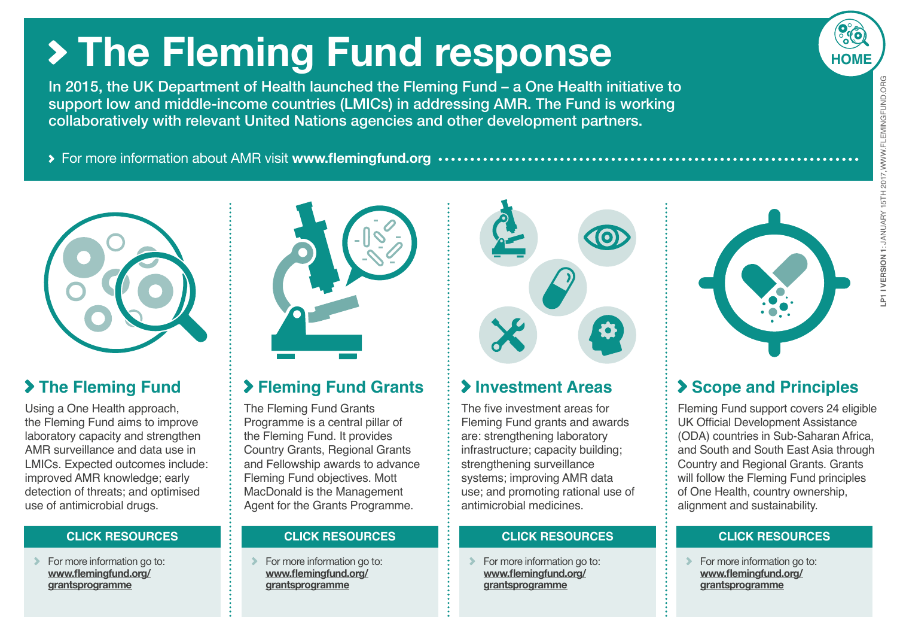## <span id="page-4-0"></span>**The Fleming Fund response**

In 2015, the UK Department of Health launched the Fleming Fund – a One Health initiative to support low and middle-income countries (LMICs) in addressing AMR. The Fund is working collaboratively with relevant United Nations agencies and other development partners.

For more information about AMR visit **www.flemingfund.org**



#### **The Fleming Fund**

Using a One Health approach, the Fleming Fund aims to improve laboratory capacity and strengthen AMR surveillance and data use in LMICs. Expected outcomes include: improved AMR knowledge; early detection of threats; and optimised use of antimicrobial drugs.

 $\triangleright$  For more information go to: **www.flemingfund.org/ grantsprogramme**



#### **Fleming Fund Grants**

The Fleming Fund Grants Programme is a central pillar of the Fleming Fund. It provides Country Grants, Regional Grants and Fellowship awards to advance Fleming Fund objectives. Mott MacDonald is the Management Agent for the Grants Programme.

**For more information go to: www.flemingfund.org/ grantsprogramme**



#### **Investment Areas**

The five investment areas for Fleming Fund grants and awards are: strengthening laboratory infrastructure; capacity building; strengthening surveillance systems; improving AMR data use; and promoting rational use of antimicrobial medicines.

#### **CLICK RESOURCES CLICK RESOURCES CLICK RESOURCES CLICK RESOURCES**

**For more information go to: www.flemingfund.org/ grantsprogramme**



#### **Scope and Principles**

Fleming Fund support covers 24 eligible UK Official Development Assistance (ODA) countries in Sub-Saharan Africa, and South and South East Asia through Country and Regional Grants. Grants will follow the Fleming Fund principles of One Health, country ownership, alignment and sustainability.

For more information go to: **www.flemingfund.org/ grantsprogramme**

**[HOME](#page-0-0)**LP1 I VERSION 1: JANUARY 15TH 2017, WWW. FLEMINGFUND. ORG **LP1 I VERSION 1**: JANUARY 15TH 2017,WWW.FLEMINGFUND.ORG